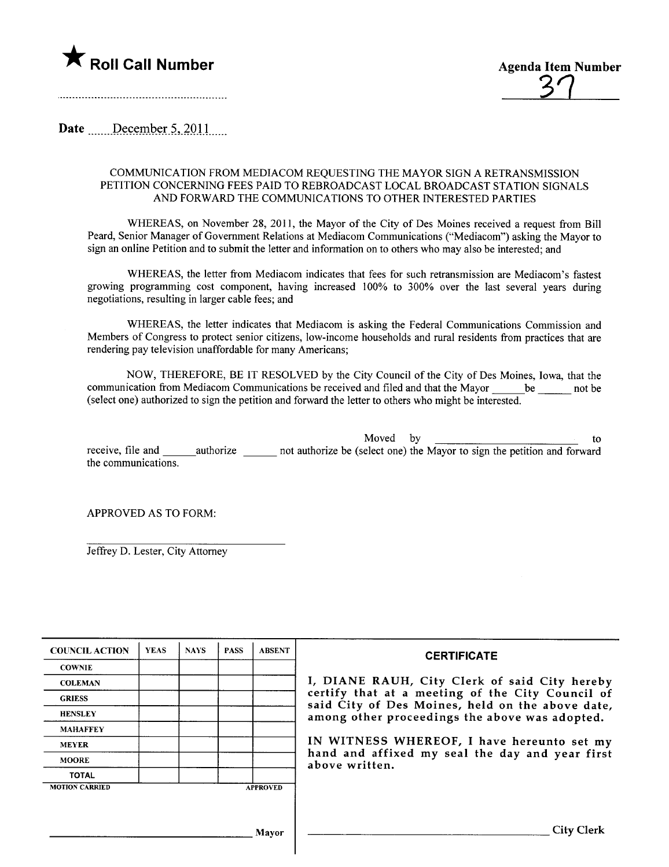

31

Date  $\qquad$  December 5, 2011

## COMMUICATION FROM MEDIACOM REQUESTING THE MAYOR SIGN A RETRANSMISSION PETITION CONCERNING FEES PAID TO REBROADCAST LOCAL BROADCAST STATION SIGNALS AND FORWARD THE COMMUNICATIONS TO OTHER INTERESTED PARTIES

WHEREAS, on November 28, 2011, the Mayor of the City of Des Moines received a request from Bill Peard, Senior Manager of Government Relations at Mediacom Communications ("Mediacom") asking the Mayor to sign an online Petition and to submit the letter and information on to others who may also be interested; and

WHEREAS, the letter from Mediacom indicates that fees for such retransmission are Mediacom's fastest growing programming cost component, having increased lOO% to 300% over the last several years during negotiations, resulting in larger cable fees; and

WHEREAS, the letter indicates that Mediacom is asking the Federal Communications Commission and Members of Congress to protect senior citizens, low-income households and rural residents from practices that are rendering pay television unaffordable for many Americans;

NOW, THEREFORE, BE IT RESOLVED by the City Council of the City of Des Moines, Iowa, that the communication from Mediacom Communications be received and filed and that the Mayor \_\_\_\_\_ be \_\_\_\_\_\_ not be (select one) authorized to sign the petition and forward the letter to others who might be interested.

to<br>Moved by<br>receive, file and \_\_\_\_\_\_authorize \_\_\_\_\_\_\_\_\_\_\_\_ not authorize be (select one) the Mayor to sign the petition and forward the communications.

APPROVED AS TO FORM:

Jeffey D. Lester, City Attorney

| <b>COUNCIL ACTION</b> | <b>YEAS</b> | <b>NAYS</b> | <b>PASS</b> | <b>ABSENT</b>   | <b>CERTIFICATE</b>                                                                                                                                                                                                                                                                                                         |
|-----------------------|-------------|-------------|-------------|-----------------|----------------------------------------------------------------------------------------------------------------------------------------------------------------------------------------------------------------------------------------------------------------------------------------------------------------------------|
| <b>COWNIE</b>         |             |             |             |                 | I, DIANE RAUH, City Clerk of said City hereby<br>certify that at a meeting of the City Council of<br>said City of Des Moines, held on the above date,<br>among other proceedings the above was adopted.<br>IN WITNESS WHEREOF, I have hereunto set my<br>hand and affixed my seal the day and year first<br>above written. |
| <b>COLEMAN</b>        |             |             |             |                 |                                                                                                                                                                                                                                                                                                                            |
| <b>GRIESS</b>         |             |             |             |                 |                                                                                                                                                                                                                                                                                                                            |
| <b>HENSLEY</b>        |             |             |             |                 |                                                                                                                                                                                                                                                                                                                            |
| <b>MAHAFFEY</b>       |             |             |             |                 |                                                                                                                                                                                                                                                                                                                            |
| <b>MEYER</b>          |             |             |             |                 |                                                                                                                                                                                                                                                                                                                            |
| <b>MOORE</b>          |             |             |             |                 |                                                                                                                                                                                                                                                                                                                            |
| <b>TOTAL</b>          |             |             |             |                 |                                                                                                                                                                                                                                                                                                                            |
| <b>MOTION CARRIED</b> |             |             |             | <b>APPROVED</b> |                                                                                                                                                                                                                                                                                                                            |
|                       |             |             |             |                 |                                                                                                                                                                                                                                                                                                                            |
|                       |             |             |             | Mavor           | <b>City Clerk</b>                                                                                                                                                                                                                                                                                                          |